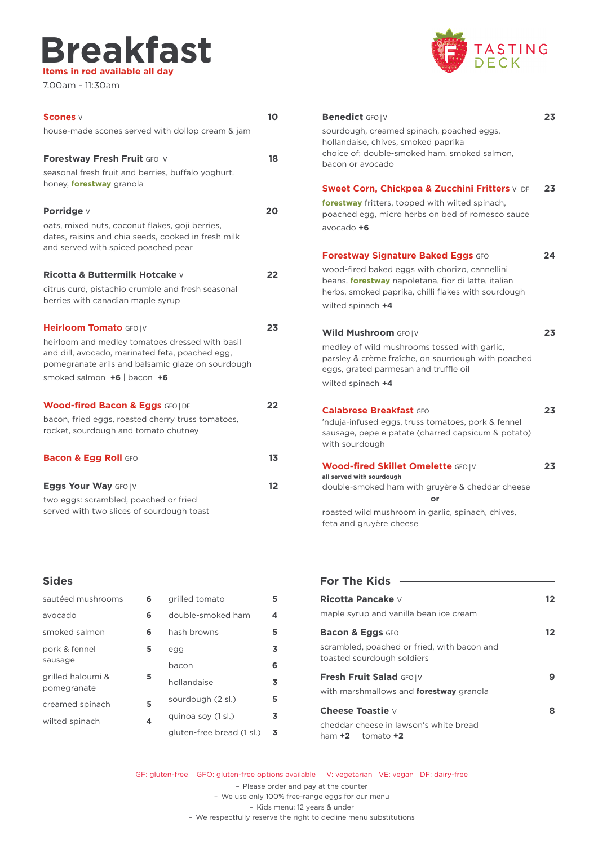### **Breakfast Items in red available all day**

7.00am - 11:30am



| <b>Scones</b> v                                                                                                                                                                            | 10 |
|--------------------------------------------------------------------------------------------------------------------------------------------------------------------------------------------|----|
| house-made scones served with dollop cream & jam                                                                                                                                           |    |
| Forestway Fresh Fruit GFO   V                                                                                                                                                              | 18 |
| seasonal fresh fruit and berries, buffalo yoghurt,<br>honey, forestway granola                                                                                                             |    |
| Porridge v                                                                                                                                                                                 | 20 |
| oats, mixed nuts, coconut flakes, goji berries,<br>dates, raisins and chia seeds, cooked in fresh milk<br>and served with spiced poached pear                                              |    |
| <b>Ricotta &amp; Buttermilk Hotcake</b> v                                                                                                                                                  | 22 |
| citrus curd, pistachio crumble and fresh seasonal<br>berries with canadian maple syrup                                                                                                     |    |
| Heirloom Tomato GFO   V                                                                                                                                                                    | 23 |
| heirloom and medley tomatoes dressed with basil<br>and dill, avocado, marinated feta, poached egg,<br>pomegranate arils and balsamic glaze on sourdough<br>smoked salmon $+6$   bacon $+6$ |    |
| <b>Wood-fired Bacon &amp; Eggs GFO   DF</b>                                                                                                                                                | 22 |
| bacon, fried eggs, roasted cherry truss tomatoes,<br>rocket, sourdough and tomato chutney                                                                                                  |    |
| <b>Bacon &amp; Egg Roll GFO</b>                                                                                                                                                            | 13 |
| Eggs Your Way GFOIV                                                                                                                                                                        | 12 |
| two eggs: scrambled, poached or fried<br>served with two slices of sourdough toast                                                                                                         |    |

| <b>Sides</b>                     |   |                           |   |
|----------------------------------|---|---------------------------|---|
|                                  |   |                           |   |
| sautéed mushrooms                | 6 | grilled tomato            | 5 |
| avocado                          | 6 | double-smoked ham         | 4 |
| smoked salmon                    | 6 | hash browns               | 5 |
| pork & fennel                    | 5 | egg                       | 3 |
| sausage                          |   | bacon                     | 6 |
| grilled haloumi &<br>pomegranate | 5 | hollandaise               | 3 |
| creamed spinach                  | 5 | sourdough (2 sl.)         | 5 |
| wilted spinach                   | 4 | quinoa soy (1 sl.)        | 3 |
|                                  |   | gluten-free bread (1 sl.) | 3 |

| <b>Benedict GFO IV</b><br>sourdough, creamed spinach, poached eggs,<br>hollandaise, chives, smoked paprika<br>choice of; double-smoked ham, smoked salmon,<br>bacon or avocado                                                        | 23 |
|---------------------------------------------------------------------------------------------------------------------------------------------------------------------------------------------------------------------------------------|----|
| <b>Sweet Corn, Chickpea &amp; Zucchini Fritters VIDE</b><br>forestway fritters, topped with wilted spinach,<br>poached egg, micro herbs on bed of romesco sauce<br>avocado $+6$                                                       | 23 |
| <b>Forestway Signature Baked Eggs GFO</b><br>wood-fired baked eggs with chorizo, cannellini<br>beans, <b>forestway</b> napoletana, fior di latte, italian<br>herbs, smoked paprika, chilli flakes with sourdough<br>wilted spinach +4 | 24 |
| Wild Mushroom GFO   V<br>medley of wild mushrooms tossed with garlic,<br>parsley & crème fraîche, on sourdough with poached<br>eggs, grated parmesan and truffle oil<br>wilted spinach +4                                             | 23 |
| <b>Calabrese Breakfast GFO</b><br>'nduja-infused eggs, truss tomatoes, pork & fennel<br>sausage, pepe e patate (charred capsicum & potato)<br>with sourdough                                                                          | 23 |
| <b>Wood-fired Skillet Omelette GFOIV</b><br>all served with sourdough<br>double-smoked ham with gruyère & cheddar cheese<br>or                                                                                                        | 23 |

roasted wild mushroom in garlic, spinach, chives, feta and gruyère cheese

| <b>For The Kids</b>                                                       |     |
|---------------------------------------------------------------------------|-----|
| Ricotta Pancake v                                                         | 12. |
| maple syrup and vanilla bean ice cream                                    |     |
| <b>Bacon &amp; Eggs GFO</b>                                               | 12  |
| scrambled, poached or fried, with bacon and<br>toasted sourdough soldiers |     |
| Fresh Fruit Salad GFOIV                                                   |     |
| with marshmallows and <b>forestway</b> granola                            |     |
| Cheese Toastie v                                                          | 8   |
| cheddar cheese in lawson's white bread<br>ham $+2$ tomato $+2$            |     |

GF: gluten-free GFO: gluten-free options available V: vegetarian VE: vegan DF: dairy-free – Please order and pay at the counter – We use only 100% free-range eggs for our menu – Kids menu: 12 years & under – We respectfully reserve the right to decline menu substitutions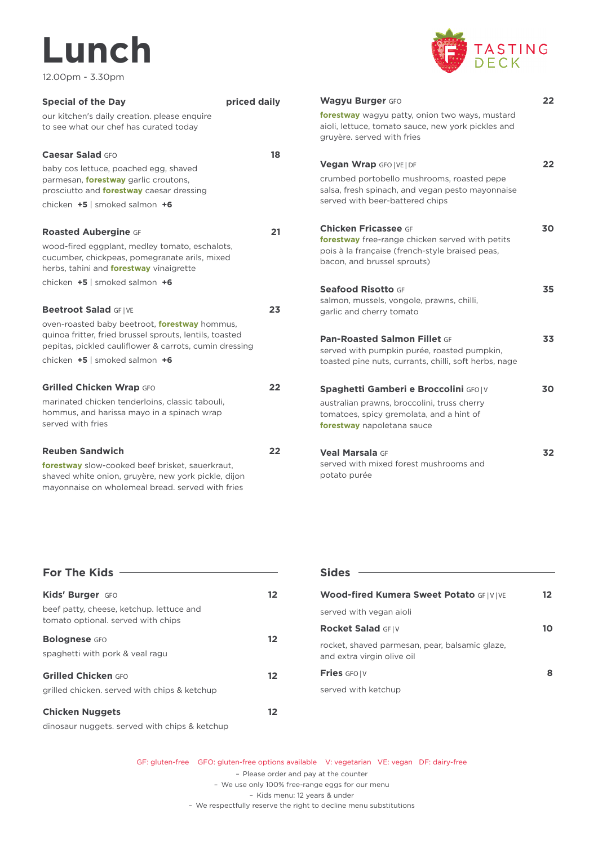# **Lunch**

12.00pm - 3.30pm



| <b>Special of the Day</b>                                                                                                                                                  | priced daily |
|----------------------------------------------------------------------------------------------------------------------------------------------------------------------------|--------------|
| our kitchen's daily creation. please enquire<br>to see what our chef has curated today                                                                                     |              |
| Caesar Salad GFO                                                                                                                                                           | 18           |
| baby cos lettuce, poached egg, shaved<br>parmesan, <b>forestway</b> garlic croutons,<br>prosciutto and <b>forestway</b> caesar dressing<br>chicken $+5$ smoked salmon $+6$ |              |
|                                                                                                                                                                            |              |
| <b>Roasted Aubergine GF</b>                                                                                                                                                | 21           |
| wood-fired eggplant, medley tomato, eschalots,<br>cucumber, chickpeas, pomegranate arils, mixed<br>herbs, tahini and <b>forestway</b> vinaigrette                          |              |
| chicken $+5$   smoked salmon $+6$                                                                                                                                          |              |
| Beetroot Salad GFIVE                                                                                                                                                       | 23           |
| oven-roasted baby beetroot, <b>forestway</b> hommus,<br>quinoa fritter, fried brussel sprouts, lentils, toasted<br>pepitas, pickled cauliflower & carrots, cumin dressing  |              |
| chicken $+5$ smoked salmon $+6$                                                                                                                                            |              |
| <b>Grilled Chicken Wrap GFO</b>                                                                                                                                            | 22           |
| marinated chicken tenderloins, classic tabouli,<br>hommus, and harissa mayo in a spinach wrap<br>served with fries                                                         |              |
| <b>Reuben Sandwich</b>                                                                                                                                                     | 22           |
| forestway slow-cooked beef brisket, sauerkraut,<br>shaved white onion, gruyère, new york pickle, dijon<br>mayonnaise on wholemeal bread, served with fries                 |              |

| <b>Wagyu Burger GFO</b>                                                                                                                  | 22 |
|------------------------------------------------------------------------------------------------------------------------------------------|----|
| forestway wagyu patty, onion two ways, mustard<br>aioli, lettuce, tomato sauce, new york pickles and<br>gruyère. served with fries       |    |
| <b>Vegan Wrap GFO   VE   DF</b>                                                                                                          | 22 |
| crumbed portobello mushrooms, roasted pepe<br>salsa, fresh spinach, and vegan pesto mayonnaise<br>served with beer-battered chips        |    |
| <b>Chicken Fricassee GF</b>                                                                                                              | 30 |
| <b>forestway</b> free-range chicken served with petits<br>pois à la française (french-style braised peas,<br>bacon, and brussel sprouts) |    |
| <b>Seafood Risotto GF</b>                                                                                                                | 35 |
| salmon, mussels, vongole, prawns, chilli,<br>garlic and cherry tomato                                                                    |    |
| <b>Pan-Roasted Salmon Fillet GF</b>                                                                                                      | 33 |
| served with pumpkin purée, roasted pumpkin,<br>toasted pine nuts, currants, chilli, soft herbs, nage                                     |    |
| Spaghetti Gamberi e Broccolini GFOIV                                                                                                     | 30 |
| australian prawns, broccolini, truss cherry<br>tomatoes, spicy gremolata, and a hint of                                                  |    |
| forestway napoletana sauce                                                                                                               |    |
| <b>Veal Marsala GF</b>                                                                                                                   | 32 |
| served with mixed forest mushrooms and<br>potato purée                                                                                   |    |

| <b>For The Kids</b>                                     |                   | <b>Sides</b>       |
|---------------------------------------------------------|-------------------|--------------------|
| Kids' Burger GFO                                        | $12 \overline{ }$ | Wood-              |
| beef patty, cheese, ketchup. lettuce and                |                   | served             |
| tomato optional, served with chips                      |                   | <b>Rocket</b>      |
| <b>Bolognese</b> GFO<br>spaghetti with pork & yeal ragu | $12 \,$           | rocket.<br>and ext |
| <b>Grilled Chicken GFO</b>                              | 12                | Fries G            |
| grilled chicken, served with chips & ketchup            |                   | served             |
| <b>Chicken Nuggets</b>                                  | $12 \overline{ }$ |                    |
| dinosaur nuggets, served with chips & ketchup           |                   |                    |

| <b>Sides</b>                                                                 |    |
|------------------------------------------------------------------------------|----|
| <b>Wood-fired Kumera Sweet Potato GFIVIVE</b>                                | 12 |
| served with yegan aioli                                                      |    |
| <b>Rocket Salad GFIV</b>                                                     |    |
| rocket, shaved parmesan, pear, balsamic glaze,<br>and extra virgin olive oil |    |
| <b>Fries</b> GFOIV                                                           |    |
| served with ketchup                                                          |    |
|                                                                              |    |

GF: gluten-free GFO: gluten-free options available V: vegetarian VE: vegan DF: dairy-free – Please order and pay at the counter – We use only 100% free-range eggs for our menu – Kids menu: 12 years & under – We respectfully reserve the right to decline menu substitutions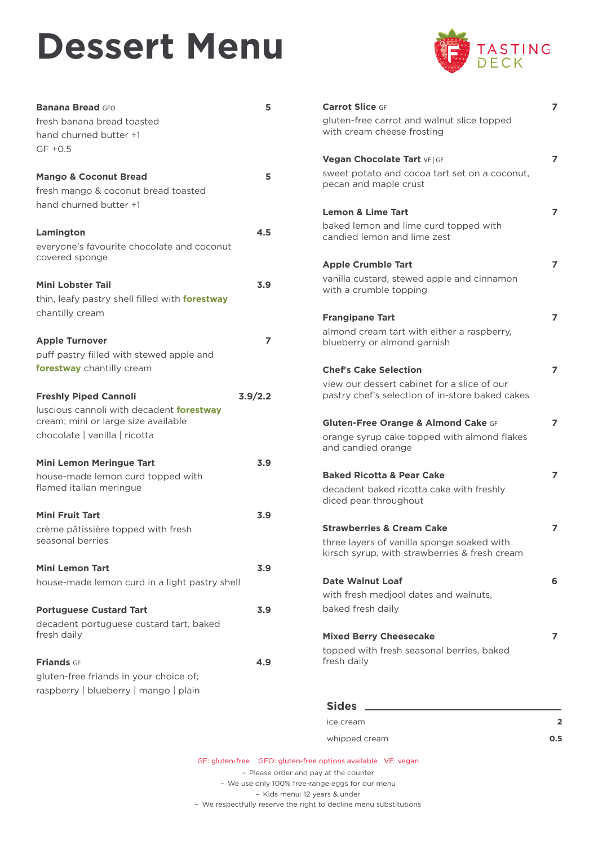## **Dessert Menu**



| <b>Banana Bread GFO</b>                         | 5       | <b>Carrot Slice GF</b>                                 |
|-------------------------------------------------|---------|--------------------------------------------------------|
| fresh banana bread toasted                      |         | gluten-free carrot and \                               |
| hand churned butter +1                          |         | with cream cheese fros                                 |
| $GF +0.5$                                       |         |                                                        |
|                                                 |         | <b>Vegan Chocolate Tart v</b>                          |
| <b>Mango &amp; Coconut Bread</b>                | 5       | sweet potato and coco<br>pecan and maple crust         |
| fresh mango & coconut bread toasted             |         |                                                        |
| hand churned butter +1                          |         | <b>Lemon &amp; Lime Tart</b>                           |
|                                                 |         | baked lemon and lime o                                 |
| Lamington                                       | 4.5     | candied lemon and lime                                 |
| everyone's favourite chocolate and coconut      |         |                                                        |
| covered sponge                                  |         | <b>Apple Crumble Tart</b>                              |
|                                                 |         | vanilla custard, stewed                                |
| <b>Mini Lobster Tail</b>                        | 3.9     | with a crumble topping                                 |
| thin, leafy pastry shell filled with forestway  |         |                                                        |
| chantilly cream                                 |         | <b>Frangipane Tart</b>                                 |
| <b>Apple Turnover</b>                           | 7       | almond cream tart with                                 |
| puff pastry filled with stewed apple and        |         | blueberry or almond ga                                 |
| forestway chantilly cream                       |         |                                                        |
|                                                 |         | <b>Chef's Cake Selection</b>                           |
| <b>Freshly Piped Cannoli</b>                    | 3.9/2.2 | view our dessert cabine<br>pastry chef's selection     |
| luscious cannoli with decadent <b>forestway</b> |         |                                                        |
| cream; mini or large size available             |         | <b>Gluten-Free Orange &amp; /</b>                      |
| chocolate   vanilla   ricotta                   |         | orange syrup cake topp                                 |
|                                                 |         | and candied orange                                     |
| <b>Mini Lemon Meringue Tart</b>                 | 3.9     |                                                        |
| house-made lemon curd topped with               |         | <b>Baked Ricotta &amp; Pear C</b>                      |
| flamed italian meringue                         |         | decadent baked ricotta                                 |
|                                                 |         | diced pear throughout                                  |
| <b>Mini Fruit Tart</b>                          | 3.9     |                                                        |
| crème pâtissière topped with fresh              |         | <b>Strawberries &amp; Cream (</b>                      |
| seasonal berries                                |         | three layers of vanilla sp<br>kirsch syrup, with straw |
| <b>Mini Lemon Tart</b>                          |         |                                                        |
| house-made lemon curd in a light pastry shell   | 3.9     | <b>Date Walnut Loaf</b>                                |
|                                                 |         | with fresh medjool date                                |
| <b>Portuguese Custard Tart</b>                  | 3.9     | baked fresh daily                                      |
| decadent portuguese custard tart, baked         |         |                                                        |
| fresh daily                                     |         | <b>Mixed Berry Cheesecal</b>                           |
|                                                 |         | topped with fresh sease                                |
| <b>Friands GF</b>                               | 4.9     | fresh daily                                            |
| gluten-free friands in your choice of;          |         |                                                        |
| raspberry   blueberry   mango   plain           |         |                                                        |
|                                                 |         | <b>Sides</b>                                           |
|                                                 |         |                                                        |

| <b>Carrot Slice GF</b>                                                                                   | 7 |
|----------------------------------------------------------------------------------------------------------|---|
| gluten-free carrot and walnut slice topped<br>with cream cheese frosting                                 |   |
| Vegan Chocolate Tart VE   GF                                                                             | 7 |
| sweet potato and cocoa tart set on a coconut,<br>pecan and maple crust                                   |   |
| <b>Lemon &amp; Lime Tart</b>                                                                             | 7 |
| baked lemon and lime curd topped with<br>candied lemon and lime zest                                     |   |
| <b>Apple Crumble Tart</b>                                                                                | 7 |
| vanilla custard, stewed apple and cinnamon<br>with a crumble topping                                     |   |
| <b>Frangipane Tart</b>                                                                                   | 7 |
| almond cream tart with either a raspberry,<br>blueberry or almond garnish                                |   |
| <b>Chef's Cake Selection</b>                                                                             | 7 |
| view our dessert cabinet for a slice of our<br>pastry chef's selection of in-store baked cakes           |   |
| Gluten-Free Orange & Almond Cake GF<br>orange syrup cake topped with almond flakes<br>and candied orange | 7 |
| <b>Baked Ricotta &amp; Pear Cake</b>                                                                     | 7 |
| decadent baked ricotta cake with freshly<br>diced pear throughout                                        |   |
| <b>Strawberries &amp; Cream Cake</b>                                                                     | 7 |
| three layers of vanilla sponge soaked with<br>kirsch syrup, with strawberries & fresh cream              |   |
| <b>Date Walnut Loaf</b>                                                                                  | 6 |
| with fresh medjool dates and walnuts,                                                                    |   |
| baked fresh daily                                                                                        |   |
| <b>Mixed Berry Cheesecake</b>                                                                            | 7 |
| topped with fresh seasonal berries, baked<br>fresh daily                                                 |   |
|                                                                                                          |   |

| ice cream     | 2   |
|---------------|-----|
| whipped cream | 0.5 |

GF: gluten-free GFO: gluten-free options available VE: vegan

– Please order and pay at the counter – We use only 100% free-range eggs for our menu – Kids menu: 12 years & under – We respectfully reserve the right to decline menu substitutions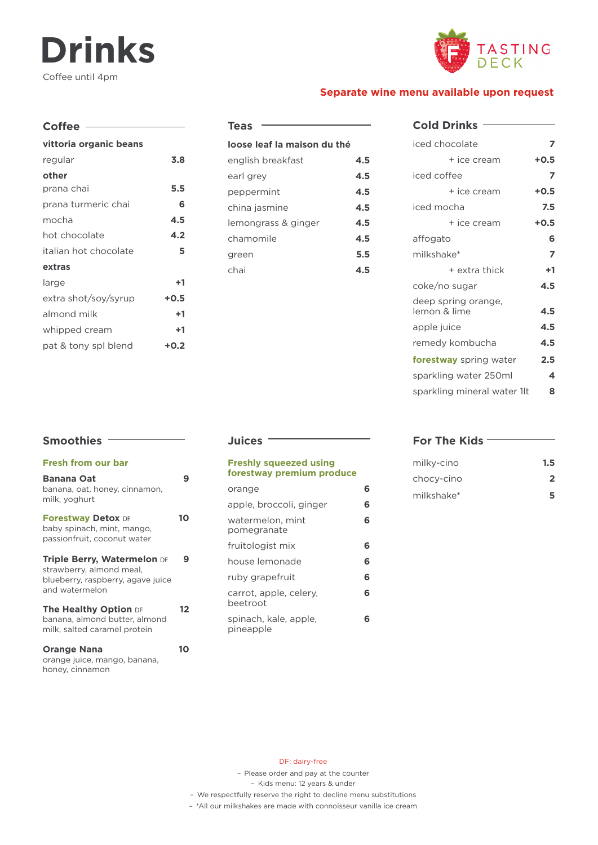### **Drinks** Coffee until 4pm



#### **Separate wine menu available upon request**

| Coffee $-$             |        |
|------------------------|--------|
| vittoria organic beans |        |
| regular                | 3.8    |
| other                  |        |
| prana chai             | 5.5    |
| prana turmeric chai    | 6      |
| mocha                  | 4.5    |
| hot chocolate          | 4.2    |
| italian hot chocolate  | 5      |
| extras                 |        |
| large                  | +1     |
| extra shot/soy/syrup   | $+0.5$ |
| almond milk            | +1     |
| whipped cream          | +1     |
| pat & tony spl blend   | +0.2   |

| <b>Teas</b>                 |     |
|-----------------------------|-----|
| loose leaf la maison du thé |     |
| english breakfast           | 4.5 |
| earl grey                   | 4.5 |
| peppermint                  | 4.5 |
| china jasmine               | 4.5 |
| lemongrass & ginger         | 4.5 |
| chamomile                   | 4.5 |
| green                       | 5.5 |
| chai                        | 4.5 |
|                             |     |

#### **Cold Drinks**

| $+0.5$                           |
|----------------------------------|
| 7                                |
| $+0.5$                           |
| 7.5                              |
| $+0.5$                           |
| 6                                |
| 7                                |
| $+1$                             |
| 4.5                              |
| 4.5                              |
| 4.5                              |
| 4.5                              |
| 2.5                              |
| 4                                |
| sparkling mineral water 1lt<br>ន |
|                                  |

#### **Smoothies Fresh from our bar Banana Oat 9** banana, oat, honey, cinnamon, milk, yoghurt **Forestway Detox DF 10** baby spinach, mint, mango, passionfruit, coconut water **Triple Berry, Watermelon** DF **9** strawberry, almond meal, blueberry, raspberry, agave juice and watermelon **The Healthy Option** DF **12** banana, almond butter, almond milk, salted caramel protein **Orange Nana 10** orange juice, mango, banana, honey, cinnamon

#### **Juices**

#### **Freshly squeezed using forestway premium produce** orange **6**

| apple, broccoli, ginger            | 6 |
|------------------------------------|---|
| watermelon, mint<br>pomegranate    | 6 |
| fruitologist mix                   | 6 |
| house lemonade                     | 6 |
| ruby grapefruit                    | 6 |
| carrot, apple, celery,<br>beetroot | 6 |
| spinach, kale, apple,<br>pineapple | 6 |

#### **For The Kids**

| milky-cino | 1.5 <sub>1</sub> |
|------------|------------------|
| chocy-cino | $\mathbf{p}$     |
| milkshake* | 5                |

#### DF: dairy-free

– Please order and pay at the counter

– Kids menu: 12 years & under

– We respectfully reserve the right to decline menu substitutions

– \*All our milkshakes are made with connoisseur vanilla ice cream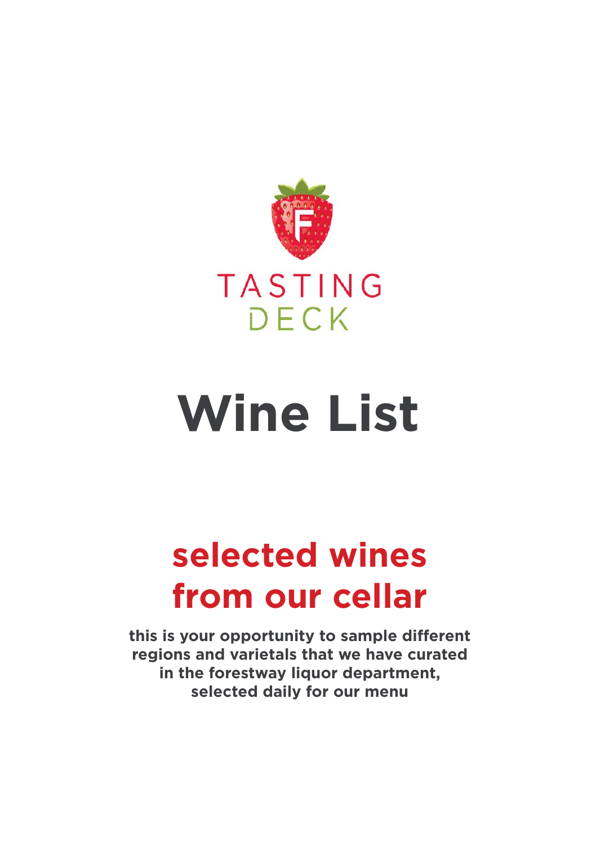

## **Wine List**

## **selected wines from our cellar**

**this is your opportunity to sample different regions and varietals that we have curated in the forestway liquor department, selected daily for our menu**